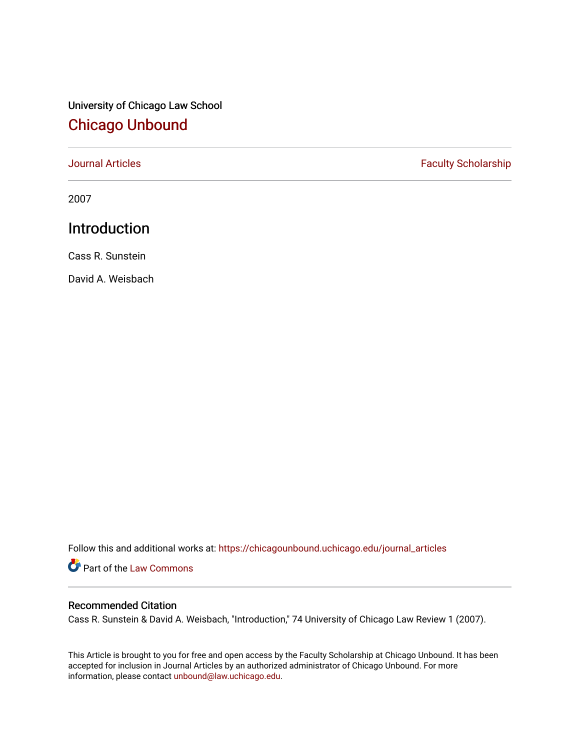# University of Chicago Law School [Chicago Unbound](https://chicagounbound.uchicago.edu/)

[Journal Articles](https://chicagounbound.uchicago.edu/journal_articles) **Faculty Scholarship Faculty Scholarship** 

2007

## Introduction

Cass R. Sunstein

David A. Weisbach

Follow this and additional works at: [https://chicagounbound.uchicago.edu/journal\\_articles](https://chicagounbound.uchicago.edu/journal_articles?utm_source=chicagounbound.uchicago.edu%2Fjournal_articles%2F3052&utm_medium=PDF&utm_campaign=PDFCoverPages) 

Part of the [Law Commons](http://network.bepress.com/hgg/discipline/578?utm_source=chicagounbound.uchicago.edu%2Fjournal_articles%2F3052&utm_medium=PDF&utm_campaign=PDFCoverPages)

### Recommended Citation

Cass R. Sunstein & David A. Weisbach, "Introduction," 74 University of Chicago Law Review 1 (2007).

This Article is brought to you for free and open access by the Faculty Scholarship at Chicago Unbound. It has been accepted for inclusion in Journal Articles by an authorized administrator of Chicago Unbound. For more information, please contact [unbound@law.uchicago.edu](mailto:unbound@law.uchicago.edu).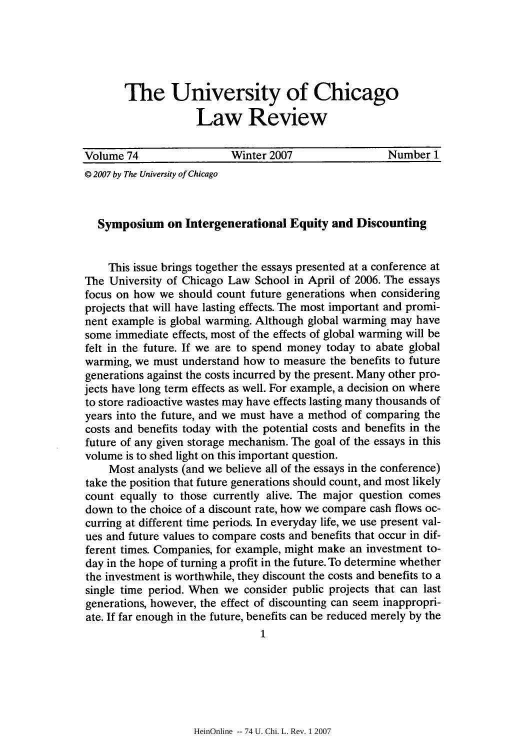# **The University of Chicago Law Review**

Volume 74 Winter **2007** Number **1**

@ *2007 by The University of Chicago*

#### **Symposium on Intergenerational Equity and Discounting**

This issue brings together the essays presented at a conference at The University of Chicago Law School in April of **2006.** The essays focus on how we should count future generations when considering projects that will have lasting effects. The most important and prominent example is global warming. Although global warming may have some immediate effects, most of the effects of global warming will be felt in the future. **If** we are to spend money today to abate global warming, we must understand how to measure the benefits to future generations against the costs incurred **by** the present. Many other projects have long term effects as well. For example, a decision on where to store radioactive wastes may have effects lasting many thousands of years into the future, and we must have a method of comparing the costs and benefits today with the potential costs and benefits in the future of any given storage mechanism. The goal of the essays in this volume is to shed light on this important question.

Most analysts (and we believe all of the essays in the conference) take the position that future generations should count, and most likely count equally to those currently alive. The major question comes down to the choice of a discount rate, how we compare cash flows occurring at different time periods. In everyday life, we use present values and future values to compare costs and benefits that occur in different times. Companies, for example, might make an investment today in the hope of turning a profit in the future. To determine whether the investment is worthwhile, they discount the costs and benefits to a single time period. When we consider public projects that can last generations, however, the effect of discounting can seem inappropriate. **If** far enough in the future, benefits can be reduced merely **by** the

**1**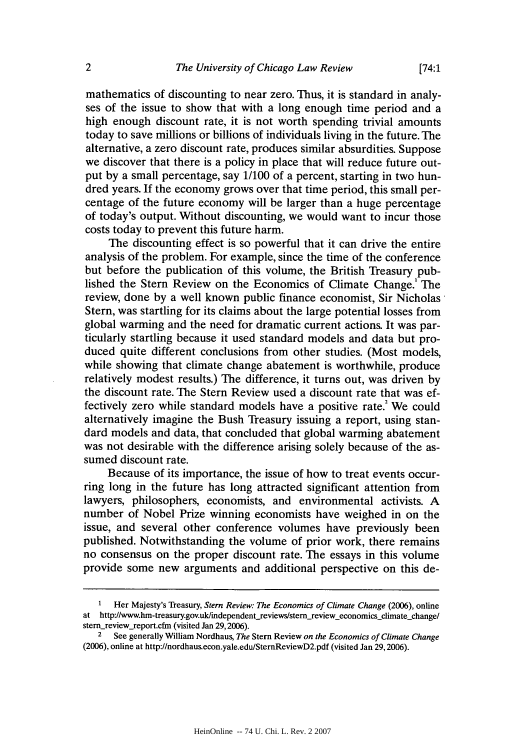mathematics of discounting to near zero. Thus, it is standard in analyses of the issue to show that with a long enough time period and a high enough discount rate, it is not worth spending trivial amounts today to save millions or billions of individuals living in the future. The alternative, a zero discount rate, produces similar absurdities. Suppose we discover that there is a policy in place that will reduce future output **by** a small percentage, say **1/100** of a percent, starting in two hundred years. **If** the economy grows over that time period, this small percentage of the future economy will be larger than a huge percentage of today's output. Without discounting, we would want to incur those costs today to prevent this future harm.

The discounting effect is so powerful that it can drive the entire analysis of the problem. For example, since the time of the conference but before the publication of this volume, the British Treasury published the Stern Review on the Economics of Climate Change.' The review, done **by** a well known public finance economist, Sir Nicholas Stern, was startling for its claims about the large potential losses from global warming and the need for dramatic current actions. It was particularly startling because it used standard models and data but produced quite different conclusions from other studies. (Most models, while showing that climate change abatement is worthwhile, produce relatively modest results.) The difference, it turns out, was driven **by** the discount rate. The Stern Review used a discount rate that was effectively zero while standard models have a positive rate.<sup>2</sup> We could alternatively imagine the Bush Treasury issuing a report, using standard models and data, that concluded that global warming abatement was not desirable with the difference arising solely because of the assumed discount rate.

Because of its importance, the issue of how to treat events occurring long in the future has long attracted significant attention from lawyers, philosophers, economists, and environmental activists. **A** number of Nobel Prize winning economists have weighed in on the issue, and several other conference volumes have previously been published. Notwithstanding the volume of prior work, there remains no consensus on the proper discount rate. The essays in this volume provide some new arguments and additional perspective on this de-

<sup>1</sup> Her Majesty's Treasury, *Stern Review: The Economics of Climate Change* **(2006),** online at http://www.hm-treasury.gov.uk/independent\_reviews/stern\_review\_economics\_climate-change/ stern\_review\_report.cfm (visited Jan 29, 2006).

<sup>2</sup>See generally William Nordhaus, *The* Stern Review *on the Economics of Climate Change* **(2006),** online at http://nordhaus.econ.yale.edulSternReviewD2.pdf (visited Jan **29,2006).**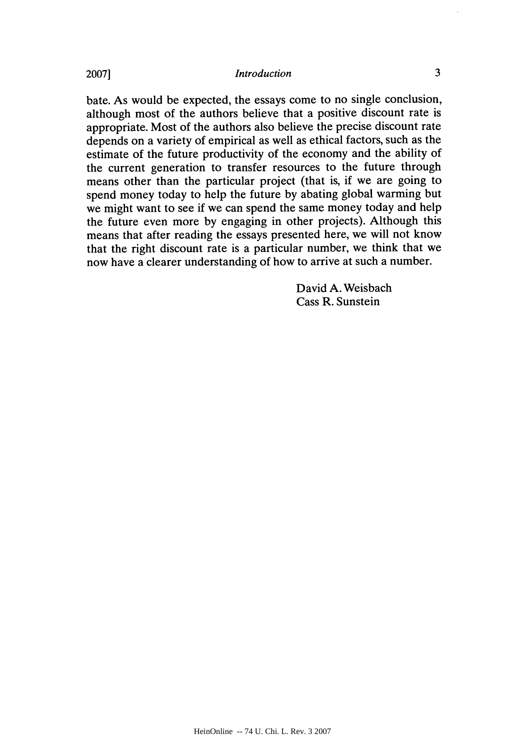bate. As would be expected, the essays come to no single conclusion, although most of the authors believe that a positive discount rate is appropriate. Most of the authors also believe the precise discount rate depends on a variety of empirical as well as ethical factors, such as the estimate of the future productivity of the economy and the ability of the current generation to transfer resources to the future through means other than the particular project (that is, if we are going to spend money today to help the future **by** abating global warming but we might want to see **if** we can spend the same money today and help the future even more **by** engaging in other projects). Although this means that after reading the essays presented here, we will not know that the right discount rate is a particular number, we think that we now have a clearer understanding of how to arrive at such a number.

> David **A.** Weisbach Cass R. Sunstein